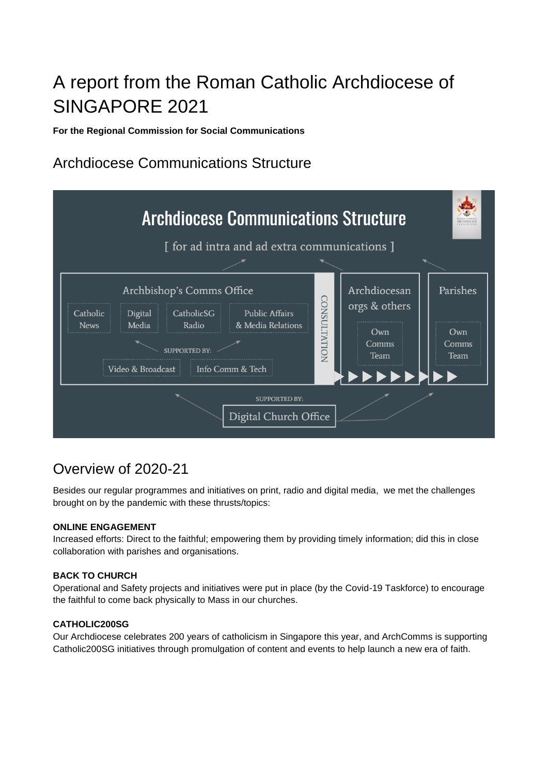# A report from the Roman Catholic Archdiocese of SINGAPORE 2021

**For the Regional Commission for Social Communications**

## Archdiocese Communications Structure



## Overview of 2020-21

Besides our regular programmes and initiatives on print, radio and digital media, we met the challenges brought on by the pandemic with these thrusts/topics:

#### **ONLINE ENGAGEMENT**

Increased efforts: Direct to the faithful; empowering them by providing timely information; did this in close collaboration with parishes and organisations.

#### **BACK TO CHURCH**

Operational and Safety projects and initiatives were put in place (by the Covid-19 Taskforce) to encourage the faithful to come back physically to Mass in our churches.

#### **CATHOLIC200SG**

Our Archdiocese celebrates 200 years of catholicism in Singapore this year, and ArchComms is supporting Catholic200SG initiatives through promulgation of content and events to help launch a new era of faith.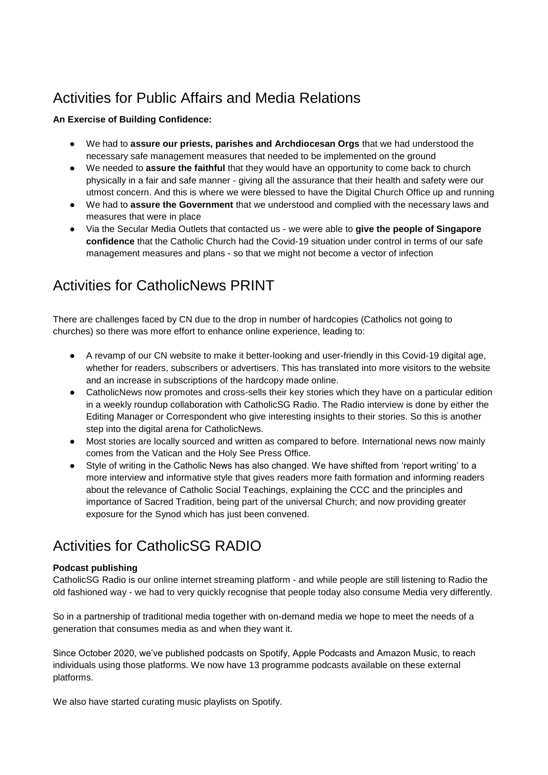## Activities for Public Affairs and Media Relations

#### **An Exercise of Building Confidence:**

- We had to **assure our priests, parishes and Archdiocesan Orgs** that we had understood the necessary safe management measures that needed to be implemented on the ground
- We needed to **assure the faithful** that they would have an opportunity to come back to church physically in a fair and safe manner - giving all the assurance that their health and safety were our utmost concern. And this is where we were blessed to have the Digital Church Office up and running
- We had to **assure the Government** that we understood and complied with the necessary laws and measures that were in place
- Via the Secular Media Outlets that contacted us we were able to **give the people of Singapore confidence** that the Catholic Church had the Covid-19 situation under control in terms of our safe management measures and plans - so that we might not become a vector of infection

## Activities for CatholicNews PRINT

There are challenges faced by CN due to the drop in number of hardcopies (Catholics not going to churches) so there was more effort to enhance online experience, leading to:

- A revamp of our CN website to make it better-looking and user-friendly in this Covid-19 digital age, whether for readers, subscribers or advertisers. This has translated into more visitors to the website and an increase in subscriptions of the hardcopy made online.
- CatholicNews now promotes and cross-sells their key stories which they have on a particular edition in a weekly roundup collaboration with CatholicSG Radio. The Radio interview is done by either the Editing Manager or Correspondent who give interesting insights to their stories. So this is another step into the digital arena for CatholicNews.
- Most stories are locally sourced and written as compared to before. International news now mainly comes from the Vatican and the Holy See Press Office.
- Style of writing in the Catholic News has also changed. We have shifted from 'report writing' to a more interview and informative style that gives readers more faith formation and informing readers about the relevance of Catholic Social Teachings, explaining the CCC and the principles and importance of Sacred Tradition, being part of the universal Church; and now providing greater exposure for the Synod which has just been convened.

## Activities for CatholicSG RADIO

#### **Podcast publishing**

CatholicSG Radio is our online internet streaming platform - and while people are still listening to Radio the old fashioned way - we had to very quickly recognise that people today also consume Media very differently.

So in a partnership of traditional media together with on-demand media we hope to meet the needs of a generation that consumes media as and when they want it.

Since October 2020, we've published podcasts on Spotify, Apple Podcasts and Amazon Music, to reach individuals using those platforms. We now have 13 programme podcasts available on these external platforms.

We also have started curating music playlists on Spotify.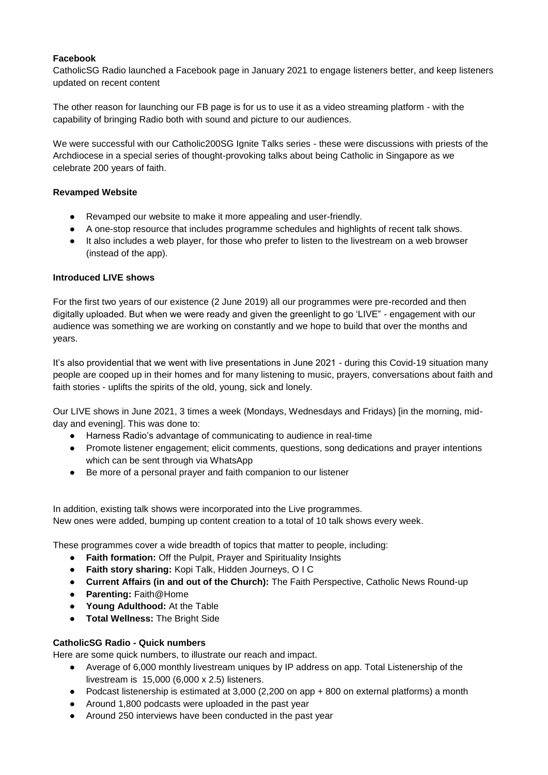#### **Facebook**

CatholicSG Radio launched a Facebook page in January 2021 to engage listeners better, and keep listeners updated on recent content

The other reason for launching our FB page is for us to use it as a video streaming platform - with the capability of bringing Radio both with sound and picture to our audiences.

We were successful with our Catholic200SG Ignite Talks series - these were discussions with priests of the Archdiocese in a special series of thought-provoking talks about being Catholic in Singapore as we celebrate 200 years of faith.

#### **Revamped Website**

- Revamped our website to make it more appealing and user-friendly.
- A one-stop resource that includes programme schedules and highlights of recent talk shows.
- It also includes a web player, for those who prefer to listen to the livestream on a web browser (instead of the app).

#### **Introduced LIVE shows**

For the first two years of our existence (2 June 2019) all our programmes were pre-recorded and then digitally uploaded. But when we were ready and given the greenlight to go 'LIVE" - engagement with our audience was something we are working on constantly and we hope to build that over the months and years.

It's also providential that we went with live presentations in June 2021 - during this Covid-19 situation many people are cooped up in their homes and for many listening to music, prayers, conversations about faith and faith stories - uplifts the spirits of the old, young, sick and lonely.

Our LIVE shows in June 2021, 3 times a week (Mondays, Wednesdays and Fridays) [in the morning, midday and evening]. This was done to:

- Harness Radio's advantage of communicating to audience in real-time
- Promote listener engagement; elicit comments, questions, song dedications and prayer intentions which can be sent through via WhatsApp
- Be more of a personal prayer and faith companion to our listener

In addition, existing talk shows were incorporated into the Live programmes. New ones were added, bumping up content creation to a total of 10 talk shows every week.

These programmes cover a wide breadth of topics that matter to people, including:

- **Faith formation:** Off the Pulpit, Prayer and Spirituality Insights
- **Faith story sharing:** Kopi Talk, Hidden Journeys, O I C
- **Current Affairs (in and out of the Church):** The Faith Perspective, Catholic News Round-up
- **Parenting:** Faith@Home
- **Young Adulthood:** At the Table
- **Total Wellness:** The Bright Side

#### **CatholicSG Radio - Quick numbers**

Here are some quick numbers, to illustrate our reach and impact.

- Average of 6,000 monthly livestream uniques by IP address on app. Total Listenership of the livestream is 15,000 (6,000 x 2.5) listeners.
- Podcast listenership is estimated at 3,000 (2,200 on app + 800 on external platforms) a month
- Around 1,800 podcasts were uploaded in the past year
- Around 250 interviews have been conducted in the past year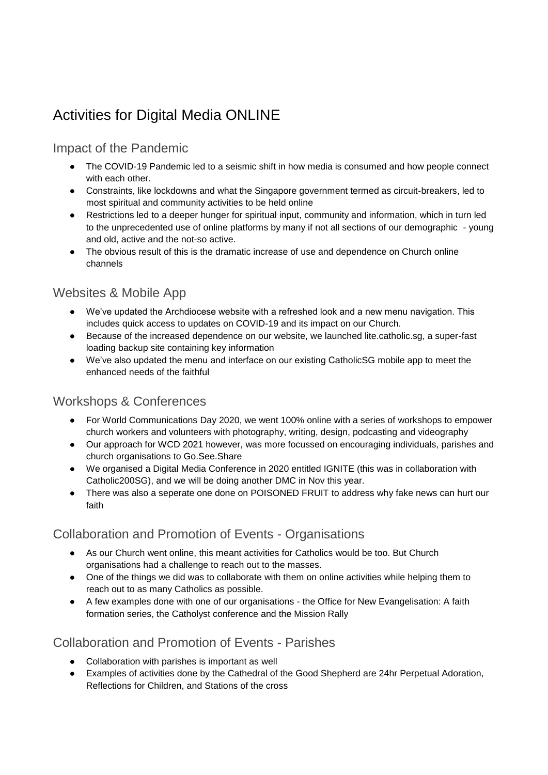## Activities for Digital Media ONLINE

### Impact of the Pandemic

- The COVID-19 Pandemic led to a seismic shift in how media is consumed and how people connect with each other.
- Constraints, like lockdowns and what the Singapore government termed as circuit-breakers, led to most spiritual and community activities to be held online
- Restrictions led to a deeper hunger for spiritual input, community and information, which in turn led to the unprecedented use of online platforms by many if not all sections of our demographic - young and old, active and the not-so active.
- The obvious result of this is the dramatic increase of use and dependence on Church online channels

### Websites & Mobile App

- We've updated the Archdiocese website with a refreshed look and a new menu navigation. This includes quick access to updates on COVID-19 and its impact on our Church.
- Because of the increased dependence on our website, we launched lite.catholic.sg, a super-fast loading backup site containing key information
- We've also updated the menu and interface on our existing CatholicSG mobile app to meet the enhanced needs of the faithful

### Workshops & Conferences

- For World Communications Day 2020, we went 100% online with a series of workshops to empower church workers and volunteers with photography, writing, design, podcasting and videography
- Our approach for WCD 2021 however, was more focussed on encouraging individuals, parishes and church organisations to Go.See.Share
- We organised a Digital Media Conference in 2020 entitled IGNITE (this was in collaboration with Catholic200SG), and we will be doing another DMC in Nov this year.
- There was also a seperate one done on POISONED FRUIT to address why fake news can hurt our faith

### Collaboration and Promotion of Events - Organisations

- As our Church went online, this meant activities for Catholics would be too. But Church organisations had a challenge to reach out to the masses.
- One of the things we did was to collaborate with them on online activities while helping them to reach out to as many Catholics as possible.
- A few examples done with one of our organisations the Office for New Evangelisation: A faith formation series, the Catholyst conference and the Mission Rally

### Collaboration and Promotion of Events - Parishes

- Collaboration with parishes is important as well
- Examples of activities done by the Cathedral of the Good Shepherd are 24hr Perpetual Adoration, Reflections for Children, and Stations of the cross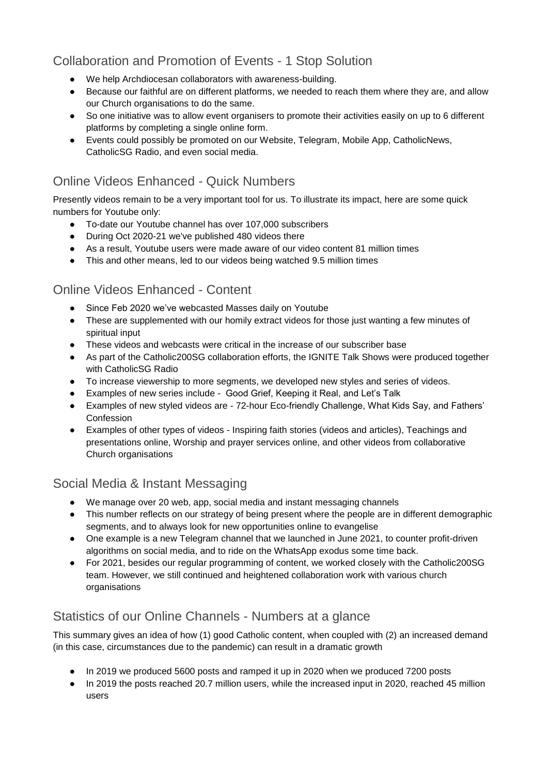## Collaboration and Promotion of Events - 1 Stop Solution

- We help Archdiocesan collaborators with awareness-building.
- Because our faithful are on different platforms, we needed to reach them where they are, and allow our Church organisations to do the same.
- So one initiative was to allow event organisers to promote their activities easily on up to 6 different platforms by completing a single online form.
- Events could possibly be promoted on our Website, Telegram, Mobile App, CatholicNews, CatholicSG Radio, and even social media.

### Online Videos Enhanced - Quick Numbers

Presently videos remain to be a very important tool for us. To illustrate its impact, here are some quick numbers for Youtube only:

- To-date our Youtube channel has over 107,000 subscribers
- During Oct 2020-21 we've published 480 videos there
- As a result, Youtube users were made aware of our video content 81 million times
- This and other means, led to our videos being watched 9.5 million times

### Online Videos Enhanced - Content

- Since Feb 2020 we've webcasted Masses daily on Youtube
- These are supplemented with our homily extract videos for those just wanting a few minutes of spiritual input
- These videos and webcasts were critical in the increase of our subscriber base
- As part of the Catholic200SG collaboration efforts, the IGNITE Talk Shows were produced together with CatholicSG Radio
- To increase viewership to more segments, we developed new styles and series of videos.
- Examples of new series include Good Grief, Keeping it Real, and Let's Talk
- Examples of new styled videos are 72-hour Eco-friendly Challenge, What Kids Say, and Fathers' Confession
- Examples of other types of videos Inspiring faith stories (videos and articles), Teachings and presentations online, Worship and prayer services online, and other videos from collaborative Church organisations

## Social Media & Instant Messaging

- We manage over 20 web, app, social media and instant messaging channels
- This number reflects on our strategy of being present where the people are in different demographic segments, and to always look for new opportunities online to evangelise
- One example is a new Telegram channel that we launched in June 2021, to counter profit-driven algorithms on social media, and to ride on the WhatsApp exodus some time back.
- For 2021, besides our regular programming of content, we worked closely with the Catholic200SG team. However, we still continued and heightened collaboration work with various church organisations

## Statistics of our Online Channels - Numbers at a glance

This summary gives an idea of how (1) good Catholic content, when coupled with (2) an increased demand (in this case, circumstances due to the pandemic) can result in a dramatic growth

- In 2019 we produced 5600 posts and ramped it up in 2020 when we produced 7200 posts
- In 2019 the posts reached 20.7 million users, while the increased input in 2020, reached 45 million users